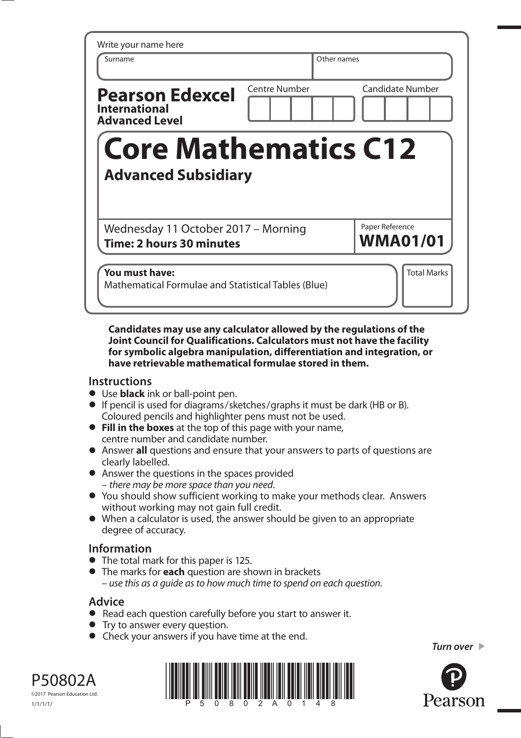| Write your name here<br>Surname                                         |               | Other names |                                    |
|-------------------------------------------------------------------------|---------------|-------------|------------------------------------|
| <b>Pearson Edexcel</b><br><b>International</b><br><b>Advanced Level</b> | Centre Number |             | <b>Candidate Number</b>            |
| <b>Core Mathematics C12</b>                                             |               |             |                                    |
| <b>Advanced Subsidiary</b>                                              |               |             |                                    |
| Wednesday 11 October 2017 - Morning<br><b>Time: 2 hours 30 minutes</b>  |               |             | Paper Reference<br><b>WMA01/01</b> |

**Candidates may use any calculator allowed by the regulations of the Joint Council for Qualifications. Calculators must not have the facility for symbolic algebra manipulation, differentiation and integration, or have retrievable mathematical formulae stored in them.** 

## **Instructions**

- **•** Use **black** ink or ball-point pen.
- **•** If pencil is used for diagrams/sketches/graphs it must be dark (HB or B). Coloured pencils and highlighter pens must not be used.
- **• Fill in the boxes** at the top of this page with your name, centre number and candidate number.
- **•** Answer **all** questions and ensure that your answers to parts of questions are clearly labelled.
- **•** Answer the questions in the spaces provided – there may be more space than you need.
- **•** You should show sufficient working to make your methods clear. Answers without working may not gain full credit.
- **•** When a calculator is used, the answer should be given to an appropriate degree of accuracy.

## **Information**

- **•** The total mark for this paper is 125.
- **•** The marks for **each** question are shown in brackets – use this as a guide as to how much time to spend on each question.

## **Advice**

- **Advice**<br>● Read each question carefully before you start to answer it.
- Read each question carefully<br>• Try to answer every question.
- Try to answer every question.<br>• Check your answers if you have time at the end.

*Turn over* 



P50802A ©2017 Pearson Education Ltd.

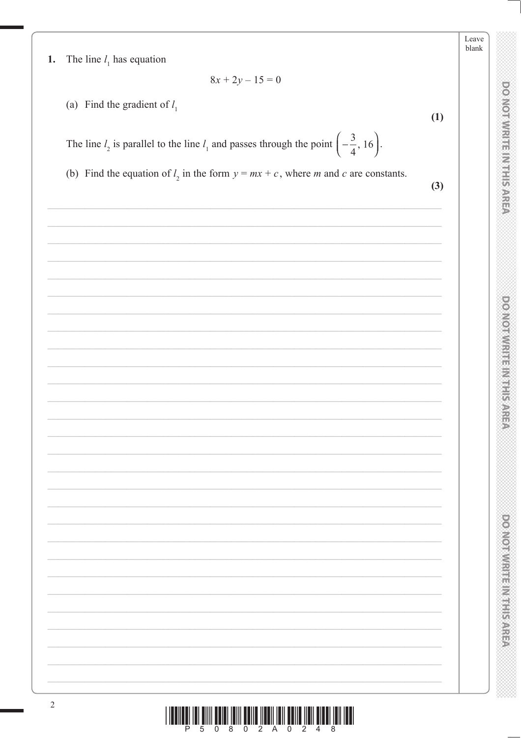**DOMOTWREED ENERGY** 

DOMOIWRITE MITHIS AREA

DO NOT WRITEIN HIS AREA

- The line  $l_1$  has equation 1.
- $8x + 2y 15 = 0$
- (a) Find the gradient of  $l_1$

The line  $l_2$  is parallel to the line  $l_1$  and passes through the point  $\left(-\frac{3}{4}, 16\right)$ .

(b) Find the equation of  $l_2$  in the form  $y = mx + c$ , where m and c are constants.

 $\sim$ 

 $(1)$ 

| $\mathfrak{b}$ |
|----------------|
|                |
|                |
|                |
|                |
|                |
|                |
|                |
|                |
|                |
|                |
|                |
|                |
|                |
|                |
|                |
|                |
|                |
|                |
|                |
|                |
|                |
|                |
|                |
|                |
|                |
|                |
|                |
|                |
|                |
|                |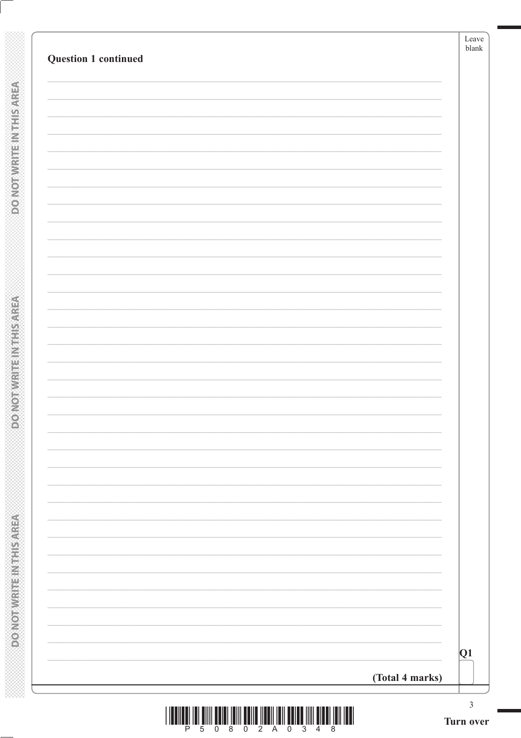| Question 1 continued | blank           |
|----------------------|-----------------|
|                      |                 |
|                      |                 |
|                      |                 |
|                      |                 |
|                      |                 |
|                      |                 |
|                      |                 |
|                      |                 |
|                      |                 |
|                      |                 |
|                      |                 |
|                      |                 |
|                      |                 |
|                      | Q1              |
|                      | (Total 4 marks) |

**DONOTWRITEINTHISAREA** 

**DO NOT WRITEIN THIS AREA**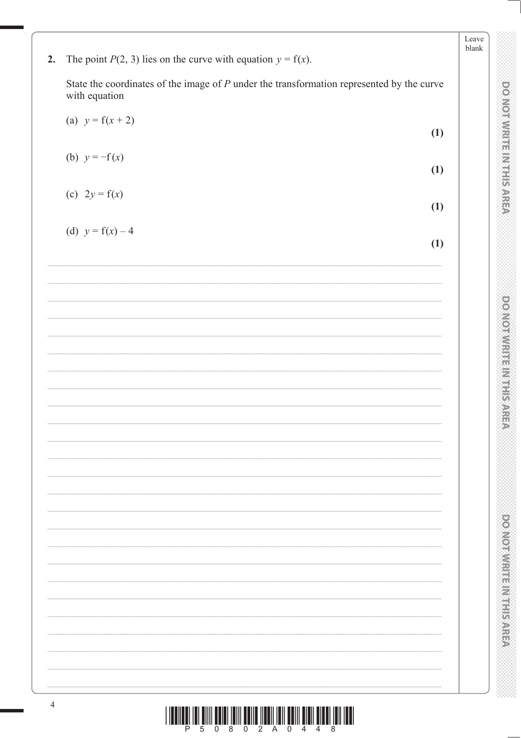|    |                                                                                                              | Leave<br>blank |  |
|----|--------------------------------------------------------------------------------------------------------------|----------------|--|
| 2. | The point $P(2, 3)$ lies on the curve with equation $y = f(x)$ .                                             |                |  |
|    | State the coordinates of the image of $P$ under the transformation represented by the curve<br>with equation |                |  |
|    | (a) $y = f(x + 2)$<br>(1)                                                                                    |                |  |
|    | (b) $y = -f(x)$<br>(1)                                                                                       |                |  |
|    | (c) $2y = f(x)$<br>(1)                                                                                       |                |  |
|    | (d) $y = f(x) - 4$<br>(1)                                                                                    |                |  |
|    |                                                                                                              |                |  |
|    |                                                                                                              |                |  |
|    |                                                                                                              |                |  |
|    |                                                                                                              |                |  |
|    |                                                                                                              |                |  |
|    |                                                                                                              |                |  |
|    |                                                                                                              |                |  |
|    |                                                                                                              |                |  |
|    |                                                                                                              |                |  |
|    |                                                                                                              |                |  |
|    |                                                                                                              |                |  |
|    |                                                                                                              |                |  |
|    |                                                                                                              |                |  |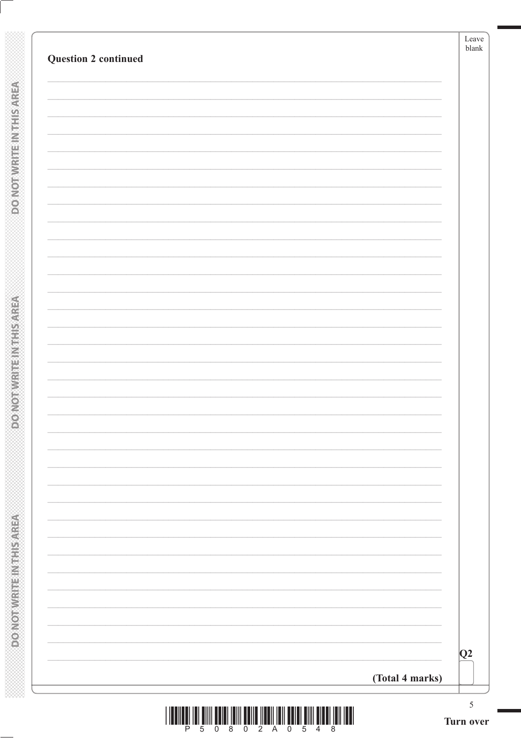| Q2 |
|----|
|    |
|    |
|    |
|    |
|    |
|    |
|    |
|    |
|    |
|    |
|    |
|    |
|    |
|    |
|    |
|    |
|    |

**DONOT WRITEIN THIS AREA** 

**DONOTWRITEINTHIS AREA** 

| <u> III (III) BIJI BIJI III (III) BIJI III (III) BIJI BIJI BIJI BIJI (III) IBI </u> |  |  |  |  |  |
|-------------------------------------------------------------------------------------|--|--|--|--|--|
| P 5 0 8 0 2 A 0 5 4 8                                                               |  |  |  |  |  |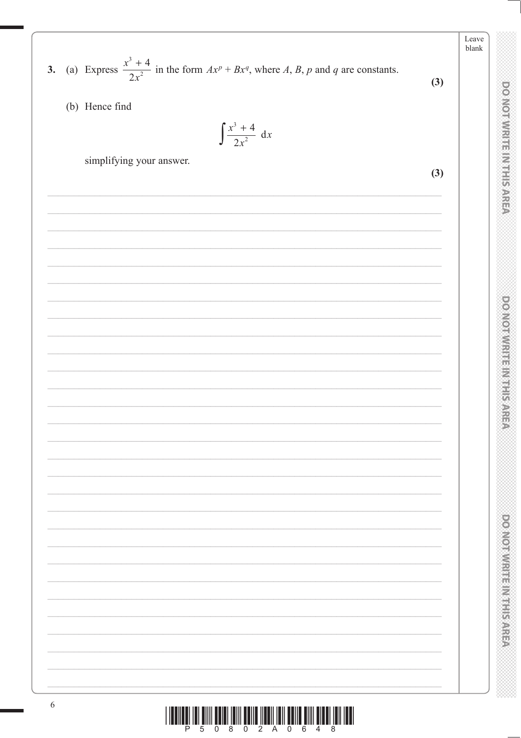3. (a) Express  $\frac{x^3 + 4}{2x^2}$  in the form  $Ax^p + Bx^q$ , where A, B, p and q are constants.

(b) Hence find

$$
\int \frac{x^3 + 4}{2x^2} \, \mathrm{d}x
$$

simplifying your answer.

 $(3)$ 

 $(3)$ 

Leave  $\ensuremath{\mathit{blank}}$ 

**DOMORWITHERNIES** 

**DO NOT WRITER NTH SARER** 

**DONOTWRITEINING** AREA

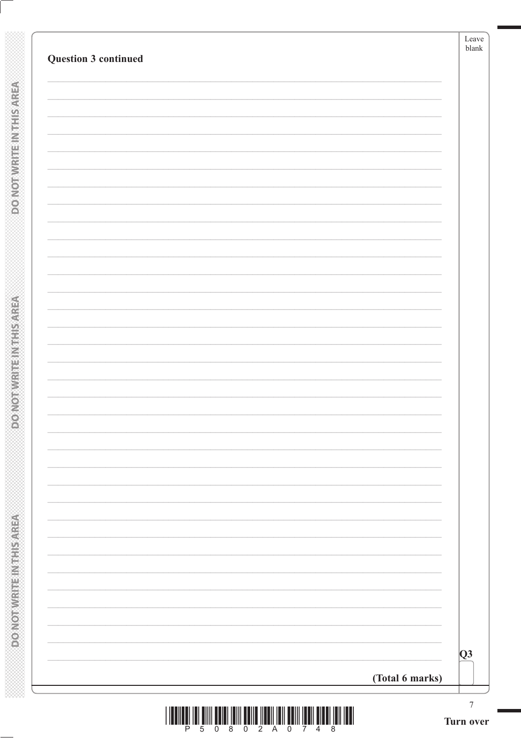| Question 3 continued | ${\rm Leave}$<br>blank  |
|----------------------|-------------------------|
|                      |                         |
|                      |                         |
|                      |                         |
|                      |                         |
|                      |                         |
|                      |                         |
|                      |                         |
|                      |                         |
|                      |                         |
|                      |                         |
|                      |                         |
|                      |                         |
|                      |                         |
| (Total 6 marks)      | $\overline{\mathbf{Q}}$ |

**DONOT WRITEIN THIS AREA** 

**DONOTWRITEINTHIS AREA** 

|  | P 5 0 8 0 2 A 0 7 4 8 |  |  |  |  |  |
|--|-----------------------|--|--|--|--|--|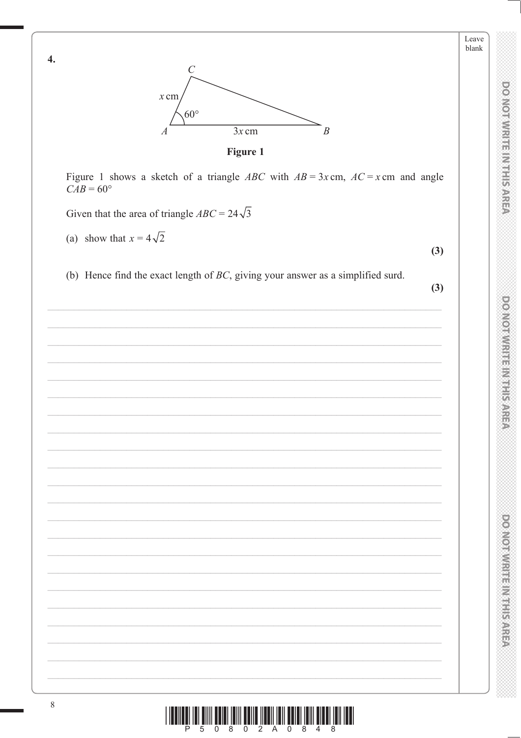

Leave blank



Figure 1 shows a sketch of a triangle ABC with  $AB = 3x$  cm,  $AC = x$  cm and angle  $CAB = 60^{\circ}$ 

Given that the area of triangle  $ABC = 24\sqrt{3}$ 

(a) show that  $x = 4\sqrt{2}$ 

 $\overline{4}$ .

(b) Hence find the exact length of  $BC$ , giving your answer as a simplified surd.

 $(3)$ 

 $(3)$ 

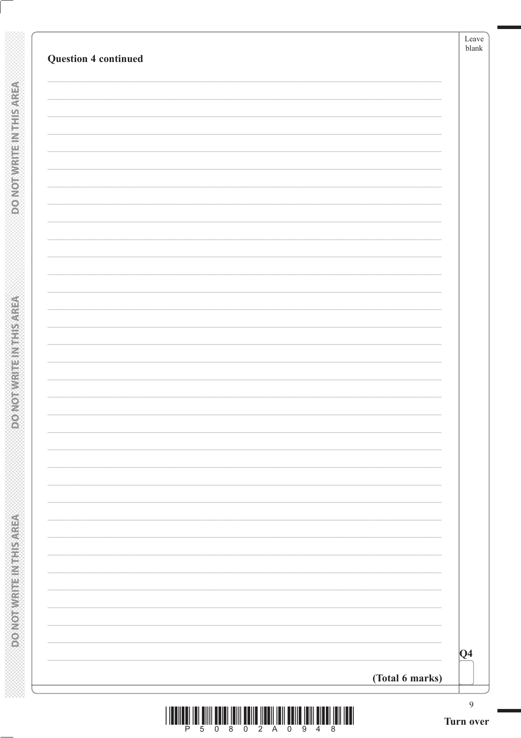| $ Q_4 $ |
|---------|
|         |

**DONOTWRITEINTHISAREA**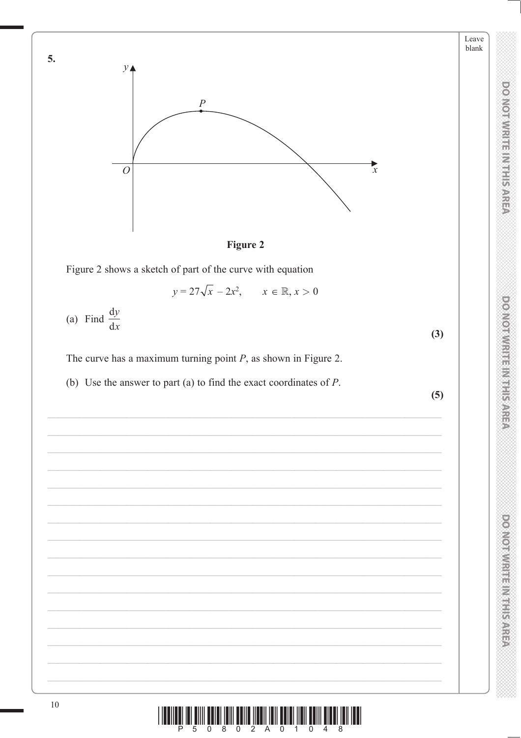



 $y = 27\sqrt{x} - 2x^2,$   $x \in \mathbb{R}, x > 0$ 

(a) Find  $\frac{dy}{dx}$ 

The curve has a maximum turning point  $P$ , as shown in Figure 2.

(b) Use the answer to part (a) to find the exact coordinates of  $P$ .

 $(5)$ 

 $(3)$ 

**DOMOTWRITERNIFIS AREA** 

DO NOTWRITE IN THIS AREA

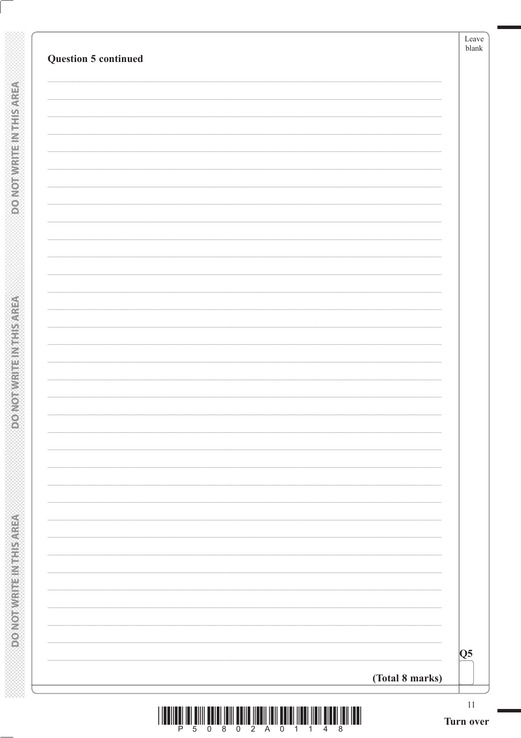| <b>Question 5 continued</b> | Leave<br>blank            |
|-----------------------------|---------------------------|
|                             |                           |
|                             |                           |
|                             |                           |
|                             |                           |
|                             |                           |
|                             |                           |
|                             |                           |
|                             |                           |
|                             |                           |
|                             |                           |
|                             |                           |
|                             |                           |
|                             |                           |
|                             |                           |
|                             |                           |
|                             |                           |
|                             |                           |
|                             |                           |
|                             |                           |
|                             |                           |
|                             |                           |
|                             | $\overline{\mathbf{Q}}$ 5 |
|                             | (Total 8 marks)           |

**DONOTWRITEINTHISAREA** 

**ASSING THE INFIRMATION OF**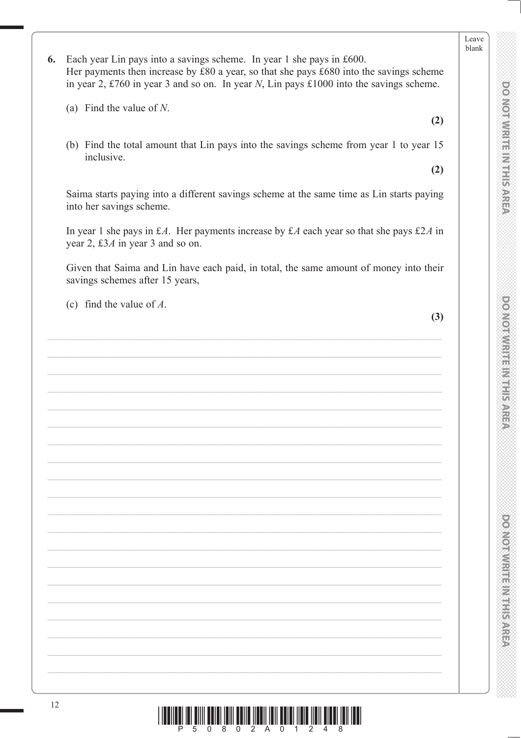Leave blank

6. Each year Lin pays into a savings scheme. In year 1 she pays in £600. Her payments then increase by  $\pounds 80$  a year, so that she pays  $\pounds 680$  into the savings scheme in year 2, £760 in year 3 and so on. In year N, Lin pays £1000 into the savings scheme.

(a) Find the value of  $N$ .

(b) Find the total amount that Lin pays into the savings scheme from year 1 to year 15 inclusive.

 $(2)$ 

 $(2)$ 

Saima starts paying into a different savings scheme at the same time as Lin starts paying into her savings scheme.

In year 1 she pays in £A. Her payments increase by £A each year so that she pays £2A in year 2, £3 $\AA$  in year 3 and so on.

Given that Saima and Lin have each paid, in total, the same amount of money into their savings schemes after 15 years,

(c) find the value of  $A$ .

 $(3)$ 

 $\frac{1}{2}\left\| \prod_{i=1}^n \prod_{j=1}^n \prod_{j=1}^n \prod_{j=1}^n \prod_{j=1}^n \prod_{j=1}^n \prod_{j=1}^n \prod_{j=1}^n \prod_{j=1}^n \prod_{j=1}^n \prod_{j=1}^n \prod_{j=1}^n \prod_{j=1}^n \prod_{j=1}^n \prod_{j=1}^n \prod_{j=1}^n \prod_{j=1}^n \prod_{j=1}^n \prod_{j=1}^n \prod_{j=1}^n \prod_{j=1}^n \prod_{j=1}^n \prod_{j=1}^n \prod_{$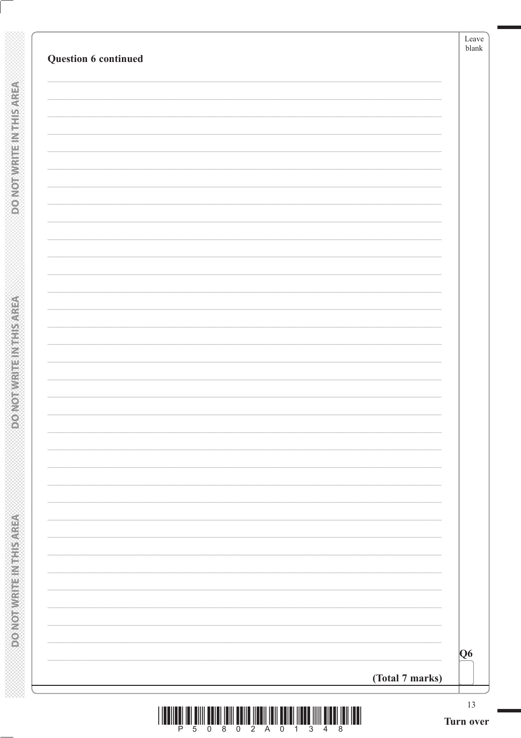| Question 6 continued |                 | Leave<br>blank |
|----------------------|-----------------|----------------|
|                      |                 |                |
|                      |                 |                |
|                      |                 |                |
|                      |                 |                |
|                      |                 |                |
|                      |                 |                |
|                      |                 |                |
|                      |                 |                |
|                      |                 |                |
|                      |                 |                |
|                      |                 |                |
|                      |                 |                |
|                      |                 |                |
|                      |                 |                |
|                      |                 |                |
|                      |                 |                |
|                      |                 |                |
|                      |                 |                |
|                      |                 | Q6             |
|                      | (Total 7 marks) |                |

**DOMOTWRITEINTHIS AREA** 

**DO NOT WRITE IN THIS AREA**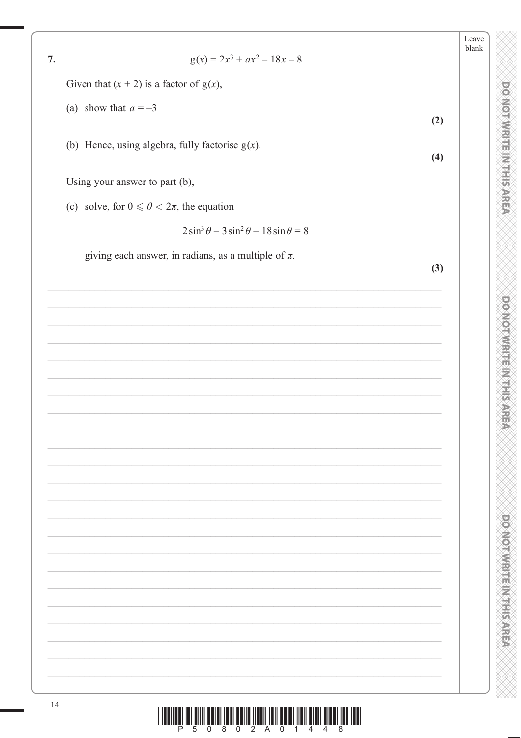|    |                                                           | Leave<br>blank |
|----|-----------------------------------------------------------|----------------|
| 7. | $g(x) = 2x^3 + ax^2 - 18x - 8$                            |                |
|    | Given that $(x + 2)$ is a factor of $g(x)$ ,              |                |
|    | (a) show that $a = -3$                                    |                |
|    | (2)                                                       |                |
|    | (b) Hence, using algebra, fully factorise $g(x)$ .<br>(4) |                |
|    |                                                           |                |
|    | Using your answer to part (b),                            |                |
|    | (c) solve, for $0 \le \theta < 2\pi$ , the equation       |                |
|    | $2\sin^3\theta - 3\sin^2\theta - 18\sin\theta = 8$        |                |
|    | giving each answer, in radians, as a multiple of $\pi$ .  |                |
|    | (3)                                                       |                |
|    |                                                           |                |
|    |                                                           |                |
|    |                                                           |                |
|    |                                                           |                |
|    |                                                           |                |
|    |                                                           |                |
|    |                                                           |                |
|    |                                                           |                |
|    |                                                           |                |
|    |                                                           |                |
|    |                                                           |                |
|    |                                                           |                |
|    |                                                           |                |
|    |                                                           |                |
|    |                                                           |                |
|    |                                                           |                |
|    |                                                           |                |
|    |                                                           |                |
|    |                                                           |                |
|    |                                                           |                |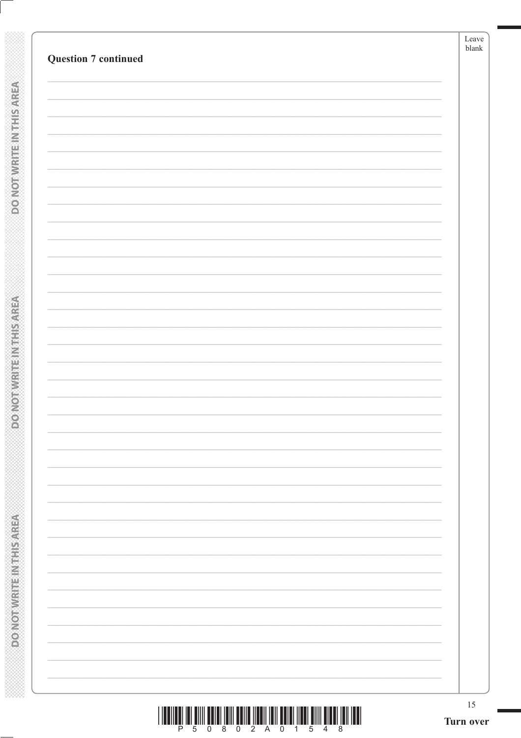| <b>Question 7 continued</b> |  |  |
|-----------------------------|--|--|
|                             |  |  |
|                             |  |  |
|                             |  |  |
|                             |  |  |
|                             |  |  |
|                             |  |  |
|                             |  |  |
|                             |  |  |
|                             |  |  |
|                             |  |  |
|                             |  |  |
|                             |  |  |
|                             |  |  |
|                             |  |  |
|                             |  |  |
|                             |  |  |
|                             |  |  |
|                             |  |  |
|                             |  |  |
|                             |  |  |
|                             |  |  |
|                             |  |  |
|                             |  |  |
|                             |  |  |
|                             |  |  |

**DOMOTWRITEINTHIS AREA**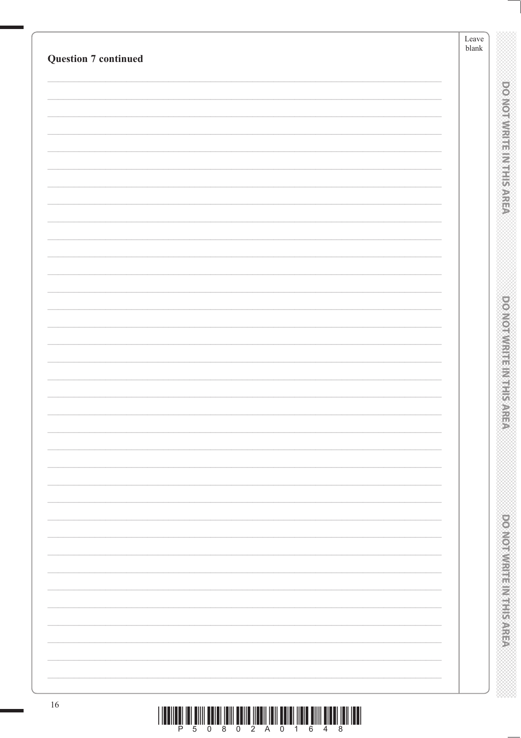|                             | Leave<br>$\ensuremath{\mathit{blank}}$           |
|-----------------------------|--------------------------------------------------|
| <b>Question 7 continued</b> |                                                  |
|                             |                                                  |
|                             | <b>DOMOTHWRITE NINE SARE</b>                     |
|                             |                                                  |
|                             |                                                  |
|                             |                                                  |
|                             |                                                  |
|                             |                                                  |
|                             |                                                  |
|                             |                                                  |
|                             |                                                  |
|                             |                                                  |
|                             |                                                  |
|                             | <b>DOMORATION IS NOT SAFE</b>                    |
|                             |                                                  |
|                             |                                                  |
|                             |                                                  |
|                             | Ð                                                |
|                             |                                                  |
|                             |                                                  |
|                             |                                                  |
|                             |                                                  |
|                             |                                                  |
|                             |                                                  |
|                             |                                                  |
|                             |                                                  |
|                             | <b>Provident in the contract of the contract</b> |
|                             |                                                  |
|                             |                                                  |
|                             |                                                  |
| $16\,$                      |                                                  |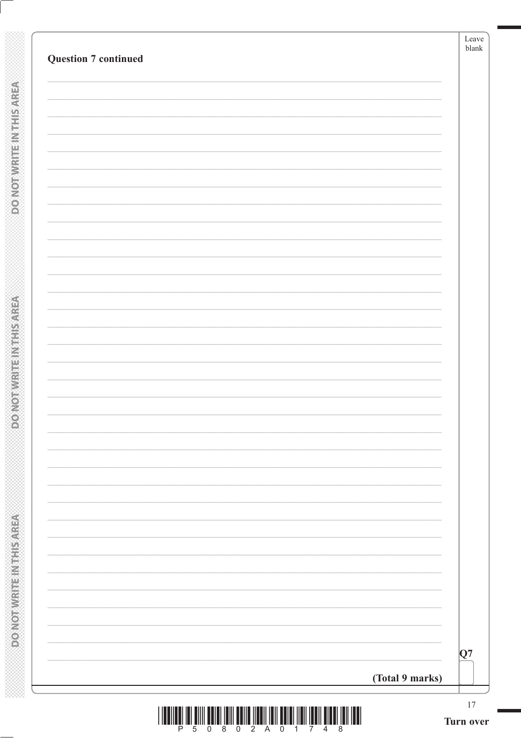| <b>Question 7 continued</b> |                 | Leave<br>blank |
|-----------------------------|-----------------|----------------|
|                             |                 |                |
|                             |                 |                |
|                             |                 |                |
|                             |                 |                |
|                             |                 |                |
|                             |                 |                |
|                             |                 |                |
|                             |                 |                |
|                             |                 |                |
|                             |                 |                |
|                             |                 |                |
|                             |                 |                |
|                             |                 |                |
|                             |                 |                |
|                             |                 |                |
|                             |                 |                |
|                             |                 |                |
|                             |                 |                |
|                             |                 |                |
|                             |                 | Q7             |
|                             | (Total 9 marks) |                |

**DOMOTWRITEINTHIS AREA** 

**DO NOTWRITE IN THIS AREA**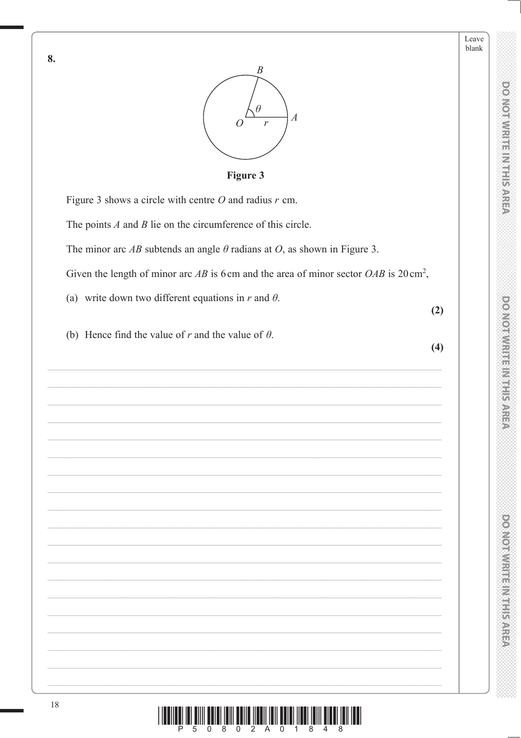$(2)$ 

 $(4)$ 



Figure 3

Figure 3 shows a circle with centre  $O$  and radius  $r$  cm.

The points  $A$  and  $B$  lie on the circumference of this circle.

The minor arc AB subtends an angle  $\theta$  radians at O, as shown in Figure 3.

Given the length of minor arc AB is 6cm and the area of minor sector  $OAB$  is 20 cm<sup>2</sup>,

(a) write down two different equations in  $r$  and  $\theta$ .

(b) Hence find the value of r and the value of  $\theta$ .

8.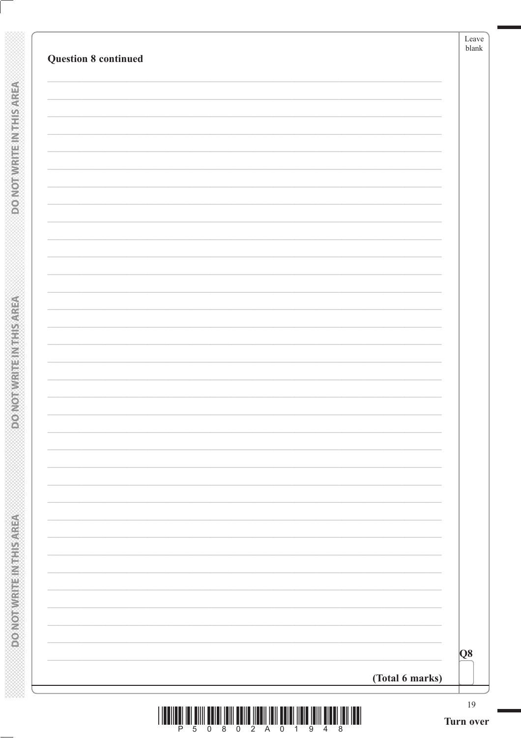| <b>Question 8 continued</b> | Leave<br>blank |
|-----------------------------|----------------|
|                             |                |
|                             |                |
|                             |                |
|                             |                |
|                             |                |
|                             |                |
|                             |                |
|                             |                |
|                             |                |
|                             |                |
|                             |                |
|                             |                |
|                             |                |
|                             |                |
|                             |                |
|                             |                |
| (Total 6 marks)             | Q8             |

**DOMOTWRITEINTHIS AREA** 

**DONOTWATE IN THIS AREA**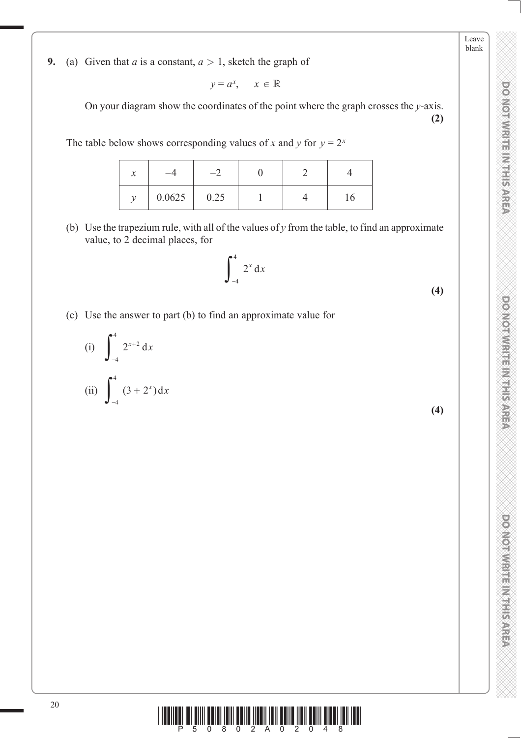**DOMOTWIRTE INTHIS AREA** 

Leave blank

**DO NOT WRITE IN THIS AREA DO NOT WRITE IN THIS AREA DO NOT WRITE IN THIS AREA DO NOT WRITE IN THIS AREA DO NOT WRITE IN THIS AREA DO NOT WRITE IN THE AREA DO NOT WRITE IN THE AREA DO NOT WRITE IN THIS AREA DO NOT WRITE IN DOMOIWRITE MITHIS AREA** 

DO NOT WRITEIN HIS AREA

**9.** (a) Given that *a* is a constant,  $a > 1$ , sketch the graph of

$$
y = a^x, \quad x \in \mathbb{R}
$$

 On your diagram show the coordinates of the point where the graph crosses the *y*-axis. **(2)**

The table below shows corresponding values of *x* and *y* for  $y = 2^x$ 

| $\mathcal{X}$ |        |      |  |    |
|---------------|--------|------|--|----|
|               | 0.0625 | 0.25 |  | 16 |

 (b) Use the trapezium rule, with all of the values of *y* from the table, to find an approximate value, to 2 decimal places, for

$$
\int_{-4}^{4} 2^{x} dx
$$
 (4)

(c) Use the answer to part (b) to find an approximate value for

(i) 
$$
\int_{-4}^{4} 2^{x+2} dx
$$
  
(ii)  $\int_{-4}^{4} (3 + 2^x) dx$ 

**(4)**

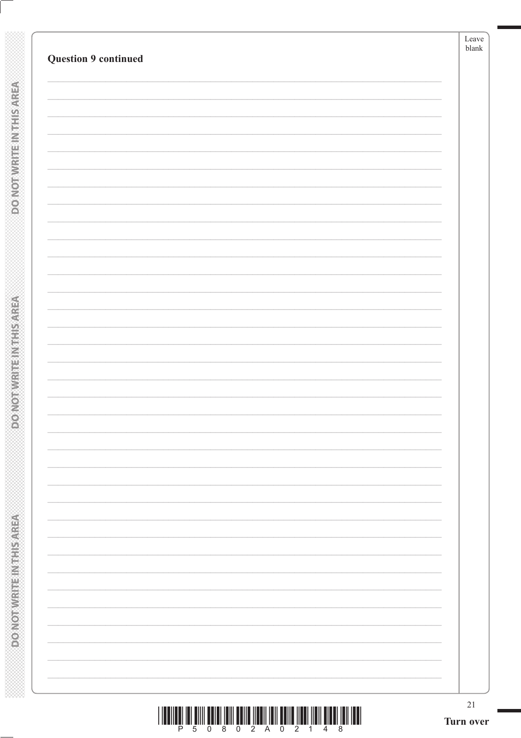| <b>Question 9 continued</b> | blank |
|-----------------------------|-------|
|                             |       |
|                             |       |
|                             |       |
|                             |       |
|                             |       |
|                             |       |
|                             |       |
|                             |       |
|                             |       |
|                             |       |
|                             |       |
|                             |       |
|                             |       |
|                             |       |
|                             |       |
|                             |       |
|                             |       |
|                             |       |
|                             |       |
|                             |       |
|                             |       |
|                             |       |
|                             |       |
|                             |       |
|                             |       |
|                             |       |
|                             |       |
|                             |       |
|                             |       |
|                             |       |
|                             |       |
|                             |       |
|                             |       |
|                             |       |
|                             |       |
|                             |       |

**DONOTWRITEIN THIS AREA** 

**DONOTWATE IN THIS AREA**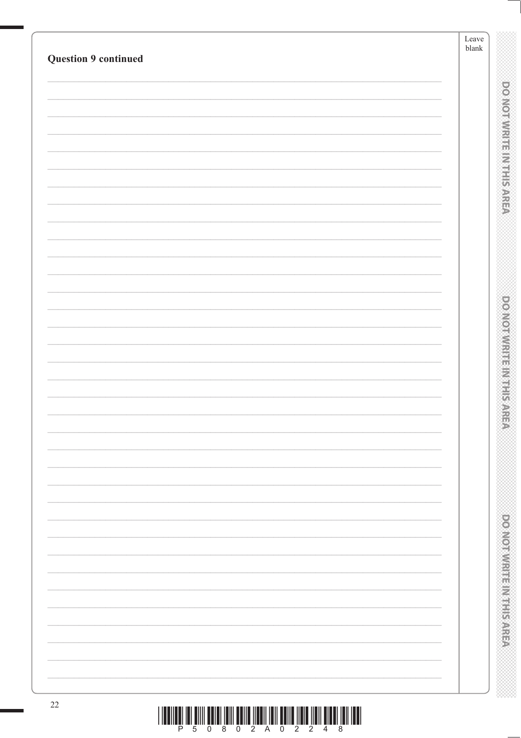|                             | Leave<br>${\tt blank}$ |  |
|-----------------------------|------------------------|--|
| <b>Question 9 continued</b> |                        |  |
|                             |                        |  |
|                             |                        |  |
|                             |                        |  |
|                             |                        |  |
|                             |                        |  |
|                             |                        |  |
|                             |                        |  |
|                             |                        |  |
|                             |                        |  |
|                             |                        |  |
|                             |                        |  |
|                             |                        |  |
|                             |                        |  |
|                             |                        |  |
|                             |                        |  |
|                             |                        |  |
|                             |                        |  |
|                             |                        |  |
|                             |                        |  |
|                             |                        |  |
|                             |                        |  |
|                             |                        |  |
|                             |                        |  |
|                             |                        |  |
|                             |                        |  |
|                             |                        |  |
|                             |                        |  |
|                             |                        |  |
|                             |                        |  |
|                             |                        |  |
|                             |                        |  |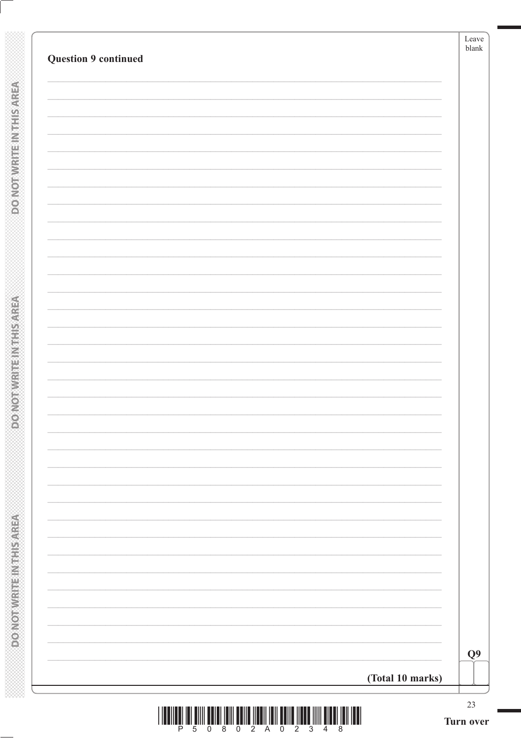|                             |                  | Leave<br>${\it blank}$ |
|-----------------------------|------------------|------------------------|
| <b>Question 9 continued</b> |                  |                        |
|                             |                  |                        |
|                             |                  |                        |
|                             |                  |                        |
|                             |                  |                        |
|                             |                  |                        |
|                             |                  |                        |
|                             |                  |                        |
|                             |                  |                        |
|                             |                  |                        |
|                             |                  |                        |
|                             |                  |                        |
|                             |                  |                        |
|                             |                  |                        |
|                             |                  |                        |
|                             |                  |                        |
|                             |                  |                        |
|                             |                  |                        |
|                             |                  |                        |
|                             |                  |                        |
|                             |                  |                        |
|                             |                  |                        |
|                             |                  |                        |
|                             |                  |                        |
|                             |                  |                        |
|                             |                  |                        |
|                             |                  |                        |
|                             |                  |                        |
|                             |                  |                        |
|                             |                  | Q <sub>9</sub>         |
|                             |                  |                        |
|                             | (Total 10 marks) |                        |

**DOMOTWRITEINTHIS AREA** 

**DO NOTWRITE IN THIS AREA**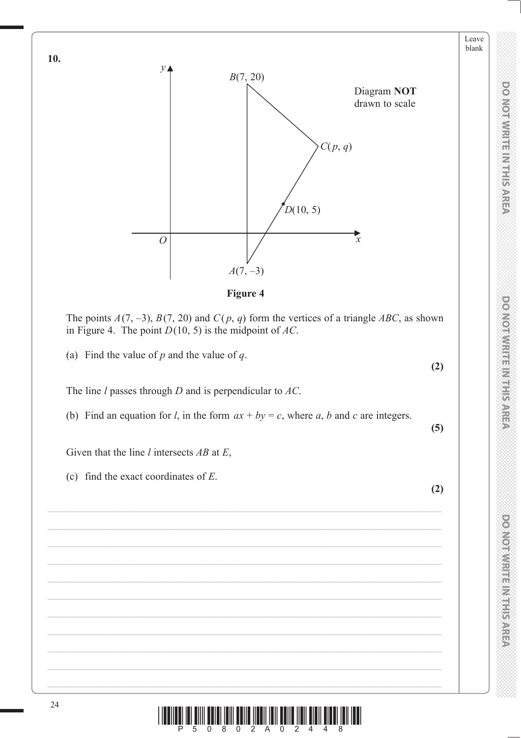

Leave blank



The points  $A(7, -3)$ ,  $B(7, 20)$  and  $C(p, q)$  form the vertices of a triangle ABC, as shown in Figure 4. The point *D*(10, 5) is the midpoint of *AC*.

(a) Find the value of *p* and the value of *q*.

The line *l* passes through *D* and is perpendicular to *AC*.

(b) Find an equation for *l*, in the form  $ax + by = c$ , where *a*, *b* and *c* are integers.

Given that the line *l* intersects *AB* at *E*,

(c) find the exact coordinates of *E*.

24  $\left[\frac{1}{2}\right]$   $\left[\frac{1}{2}\right]$   $\left[\frac{1}{2}\right]$   $\left[\frac{1}{2}\right]$   $\left[\frac{1}{2}\right]$   $\left[\frac{1}{2}\right]$   $\left[\frac{1}{2}\right]$   $\left[\frac{1}{2}\right]$   $\left[\frac{1}{2}\right]$   $\left[\frac{1}{2}\right]$   $\left[\frac{1}{2}\right]$ 

**10.**

**(2)**

**(5)**

**(2)**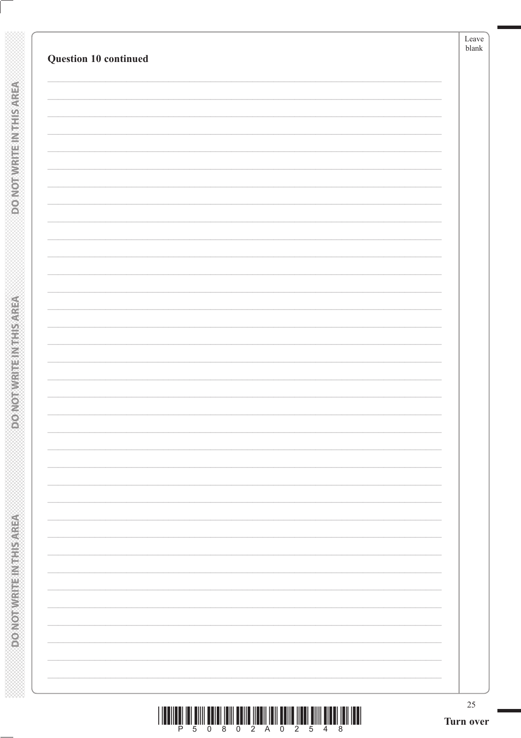| Question 10 continued |  |
|-----------------------|--|
|                       |  |
|                       |  |
|                       |  |
|                       |  |
|                       |  |
|                       |  |
|                       |  |
|                       |  |
|                       |  |
|                       |  |
|                       |  |
|                       |  |
|                       |  |
|                       |  |
|                       |  |
|                       |  |
|                       |  |
|                       |  |
|                       |  |
|                       |  |
|                       |  |
|                       |  |
|                       |  |
|                       |  |
|                       |  |
|                       |  |
|                       |  |
|                       |  |
|                       |  |
|                       |  |
|                       |  |
|                       |  |

**DOMOTWRITEINTHIS AREA**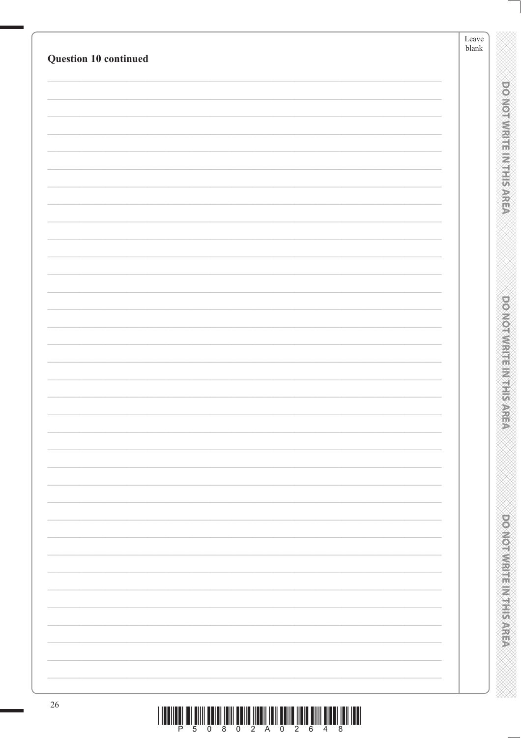|                       | Leave<br>blank |
|-----------------------|----------------|
| Question 10 continued |                |
|                       |                |
|                       |                |
|                       |                |
|                       |                |
|                       |                |
|                       |                |
|                       |                |
|                       |                |
|                       |                |
|                       |                |
|                       |                |
|                       |                |
|                       |                |
|                       |                |
|                       |                |
|                       |                |
|                       |                |
|                       |                |
|                       |                |
|                       |                |
|                       |                |
|                       |                |
|                       |                |
|                       |                |
|                       |                |
|                       |                |
|                       |                |
|                       |                |
|                       |                |
|                       |                |
|                       |                |
|                       |                |
|                       |                |
|                       |                |
|                       |                |
|                       |                |

e de la componenta de la componenta de la componenta de la componenta de la compo<br>Componenta de la componenta de la componenta de la componenta de la componenta de la componenta de la componen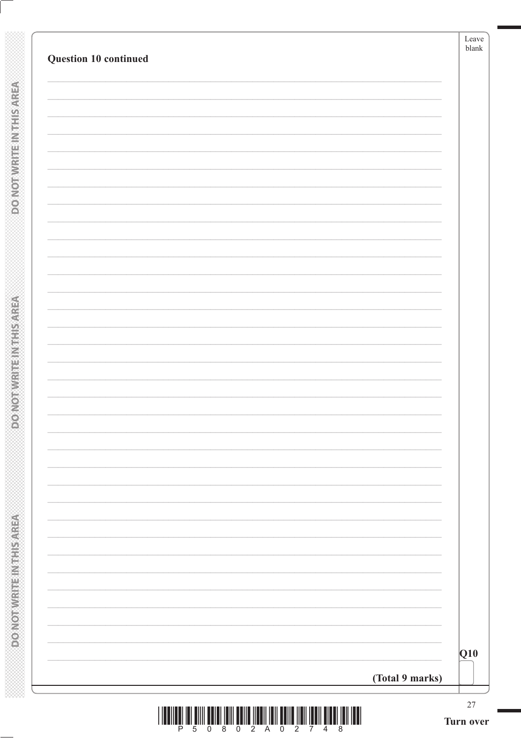| Question 10 continued               |                 | Leave<br>blank      |
|-------------------------------------|-----------------|---------------------|
|                                     |                 |                     |
|                                     |                 |                     |
|                                     |                 |                     |
|                                     |                 |                     |
|                                     |                 |                     |
|                                     |                 |                     |
|                                     |                 |                     |
|                                     |                 |                     |
|                                     |                 |                     |
|                                     |                 |                     |
|                                     |                 |                     |
|                                     |                 |                     |
|                                     |                 |                     |
|                                     |                 |                     |
|                                     |                 |                     |
|                                     |                 |                     |
|                                     |                 |                     |
|                                     |                 |                     |
|                                     |                 |                     |
|                                     |                 |                     |
|                                     |                 |                     |
|                                     |                 |                     |
|                                     |                 |                     |
|                                     |                 |                     |
|                                     |                 | Q10                 |
|                                     | (Total 9 marks) |                     |
| <b>IIII</b><br>P.<br>$\overline{5}$ |                 | $27\,$<br>Turn over |

**DOMOTWRITEINTHIS AREA** 

**ASSISTED MOTOR CONCORDED** 

Turn over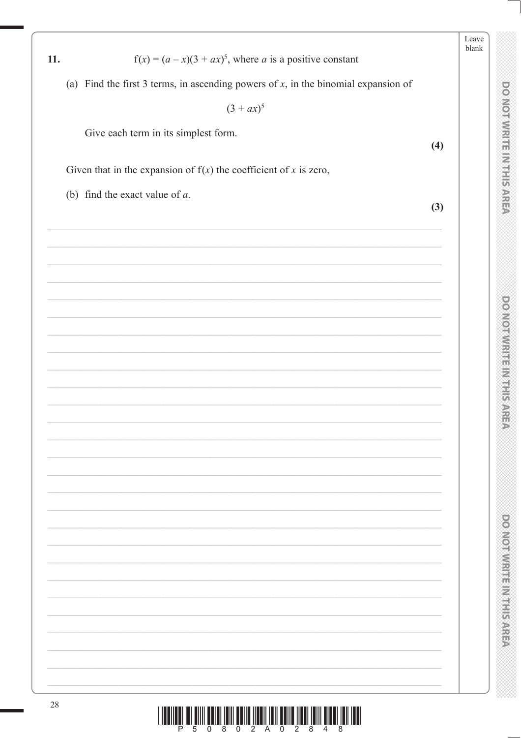| $f(x) = (a - x)(3 + ax)^5$ , where a is a positive constant<br>11.                    |     | Leave<br>blank |
|---------------------------------------------------------------------------------------|-----|----------------|
|                                                                                       |     |                |
| (a) Find the first 3 terms, in ascending powers of $x$ , in the binomial expansion of |     |                |
| $(3 + ax)^5$                                                                          |     |                |
| Give each term in its simplest form.                                                  | (4) |                |
| Given that in the expansion of $f(x)$ the coefficient of x is zero,                   |     |                |
| (b) find the exact value of $a$ .                                                     |     |                |
|                                                                                       | (3) |                |
|                                                                                       |     |                |
|                                                                                       |     |                |
|                                                                                       |     |                |
|                                                                                       |     |                |
|                                                                                       |     |                |
|                                                                                       |     |                |
|                                                                                       |     |                |
|                                                                                       |     |                |
|                                                                                       |     |                |
|                                                                                       |     |                |
|                                                                                       |     |                |
|                                                                                       |     |                |
|                                                                                       |     |                |
|                                                                                       |     |                |
|                                                                                       |     |                |
|                                                                                       |     |                |
|                                                                                       |     |                |
|                                                                                       |     |                |
|                                                                                       |     |                |
|                                                                                       |     |                |
|                                                                                       |     |                |
|                                                                                       |     |                |

 $\begin{array}{c|c|c|c|c|c|c|c} \hline \text{min} & \text{min} & \text{min} & \text{min} & \text{min} & \text{min} & \text{min} & \text{min} & \text{min} & \text{min} & \text{min} \\ \hline \end{array}$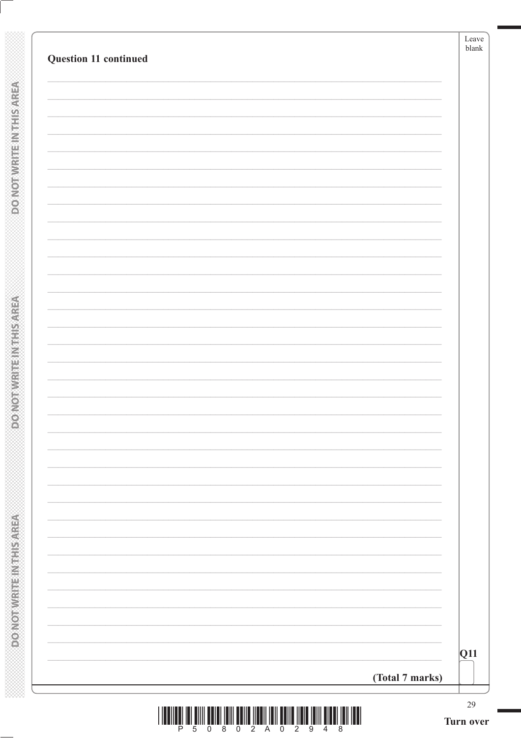| Question 11 continued |                 | Leave<br>blank |
|-----------------------|-----------------|----------------|
|                       |                 |                |
|                       |                 |                |
|                       |                 |                |
|                       |                 |                |
|                       |                 |                |
|                       |                 |                |
|                       |                 |                |
|                       |                 |                |
|                       |                 |                |
|                       |                 |                |
|                       |                 |                |
|                       |                 |                |
|                       |                 |                |
|                       |                 |                |
|                       |                 |                |
|                       |                 |                |
|                       |                 |                |
|                       |                 | Q11            |
|                       | (Total 7 marks) | 29             |

**DOMOTWRITEINTHIS AREA** 

**ASSING THE INFIRMATION OF**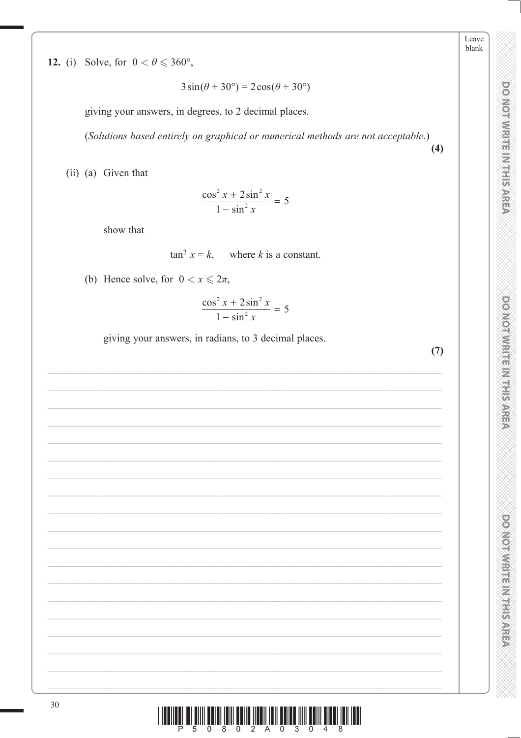**DO NOTWRITE INTERATER** 

Leave blank

**DOMOTWRITHMIS AREA** 

**DOO VOIDIVALES IN STRASS ARREST** 

<u>n un Êmu Ênun Îrmi Ênun Înrui Îrmi Ênun Îmu Ênun Îlmu Îrmi Irmi</u>

12. (i) Solve, for  $0 < \theta \leq 360^{\circ}$ ,

 $3\sin(\theta + 30^{\circ}) = 2\cos(\theta + 30^{\circ})$ 

giving your answers, in degrees, to 2 decimal places.

(Solutions based entirely on graphical or numerical methods are not acceptable.)

(ii) (a) Given that

 $\frac{\cos^2 x + 2\sin^2 x}{1 - \sin^2 x} = 5$ 

show that

$$
\tan^2 x = k, \quad \text{where } k \text{ is a constant.}
$$

(b) Hence solve, for  $0 < x \leq 2\pi$ ,

$$
\frac{\cos^2 x + 2\sin^2 x}{1 - \sin^2 x} = 5
$$

giving your answers, in radians, to 3 decimal places.

 $(7)$ 

 $(4)$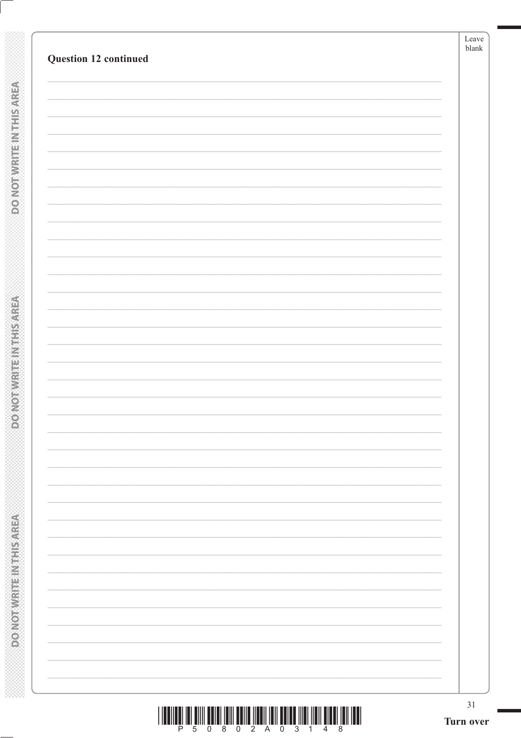| Question 12 continued | blank                    |
|-----------------------|--------------------------|
|                       |                          |
|                       |                          |
|                       |                          |
|                       |                          |
|                       |                          |
|                       |                          |
|                       |                          |
|                       |                          |
|                       |                          |
|                       |                          |
|                       |                          |
|                       |                          |
|                       |                          |
|                       |                          |
|                       |                          |
|                       |                          |
|                       |                          |
|                       |                          |
|                       |                          |
|                       | $\overline{\phantom{0}}$ |
|                       |                          |

**DOMOTWRITEINTHIS AREA**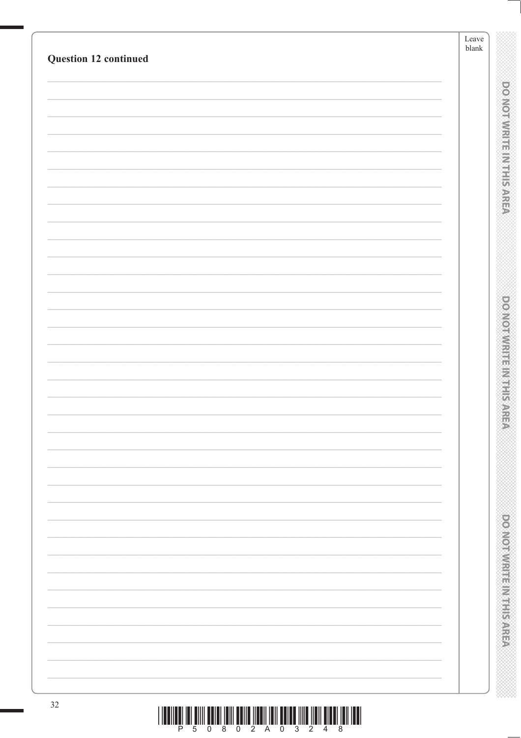|                       | Leave<br>$\ensuremath{\textrm{blank}}$           |
|-----------------------|--------------------------------------------------|
| Question 12 continued |                                                  |
|                       |                                                  |
|                       | <b>DOMORATION IN THE SARED</b>                   |
|                       |                                                  |
|                       |                                                  |
|                       |                                                  |
|                       |                                                  |
|                       |                                                  |
|                       |                                                  |
|                       |                                                  |
|                       |                                                  |
|                       |                                                  |
|                       |                                                  |
|                       | <b>DOMOIRING HER LIFE SANS</b>                   |
|                       |                                                  |
|                       |                                                  |
|                       |                                                  |
|                       |                                                  |
|                       |                                                  |
|                       |                                                  |
|                       |                                                  |
|                       |                                                  |
|                       |                                                  |
|                       |                                                  |
|                       |                                                  |
|                       |                                                  |
|                       | <b>Provident in the contract of the contract</b> |
|                       |                                                  |
|                       |                                                  |
|                       |                                                  |
| $32\,$                |                                                  |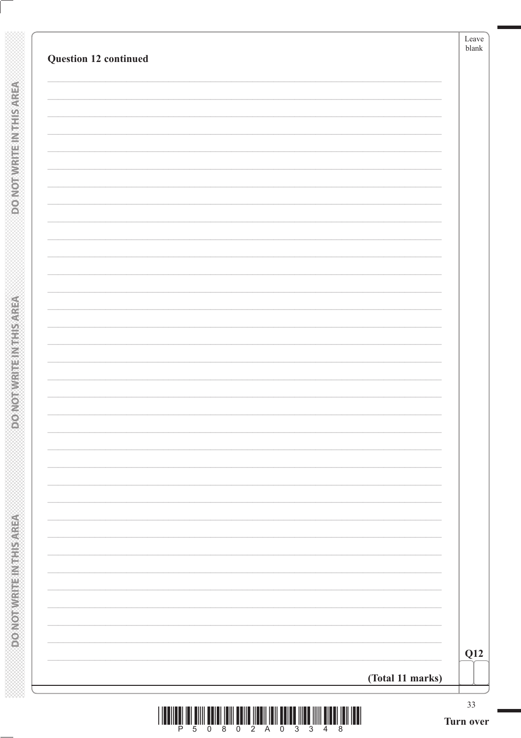| Question 12 continued | Leave<br>${\tt blank}$ |
|-----------------------|------------------------|
|                       |                        |
|                       |                        |
|                       |                        |
|                       |                        |
|                       |                        |
|                       |                        |
|                       |                        |
|                       |                        |
|                       |                        |
|                       |                        |
|                       |                        |
|                       |                        |
|                       |                        |
|                       |                        |
|                       |                        |
|                       | Q12                    |
| (Total 11 marks)      | 33                     |

**DONOTWRITEINTHISAREA** 

**DONOTWRITEIN THIS AREA**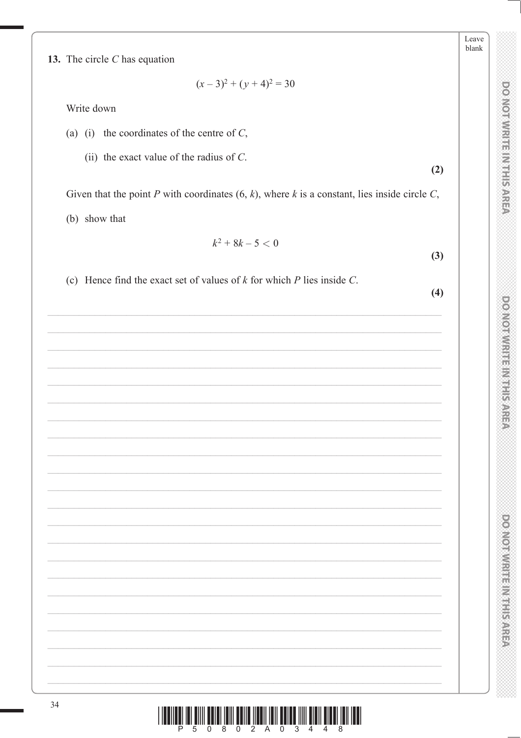**DO NOTWRITE INTERATER** 

Leave blank

**DOMOTWRITENT HERE ARE** 

**DOMOTIVIRE IN EFFECT** 

 $\frac{1}{2}$  ,  $\frac{1}{2}$  ,  $\frac{1}{2}$  ,  $\frac{1}{2}$  ,  $\frac{1}{2}$  ,  $\frac{1}{2}$  ,  $\frac{1}{2}$  ,  $\frac{1}{2}$  ,  $\frac{1}{2}$  ,  $\frac{1}{2}$  ,  $\frac{1}{2}$  ,  $\frac{1}{2}$  ,  $\frac{1}{2}$  ,  $\frac{1}{2}$  ,  $\frac{1}{2}$  ,  $\frac{1}{2}$  ,  $\frac{1}{2}$  ,  $\frac{1}{2}$  ,  $\frac{1$ Ш

13. The circle  $C$  has equation

 $(x-3)^2 + (y+4)^2 = 30$ 

Write down

- (a) (i) the coordinates of the centre of  $C$ ,
	- (ii) the exact value of the radius of  $C$ .

Given that the point P with coordinates  $(6, k)$ , where k is a constant, lies inside circle C, (b) show that

$$
k^2+8k-5<0
$$

(c) Hence find the exact set of values of  $k$  for which  $P$  lies inside  $C$ .

 $(4)$ 

 $(3)$ 

 $(2)$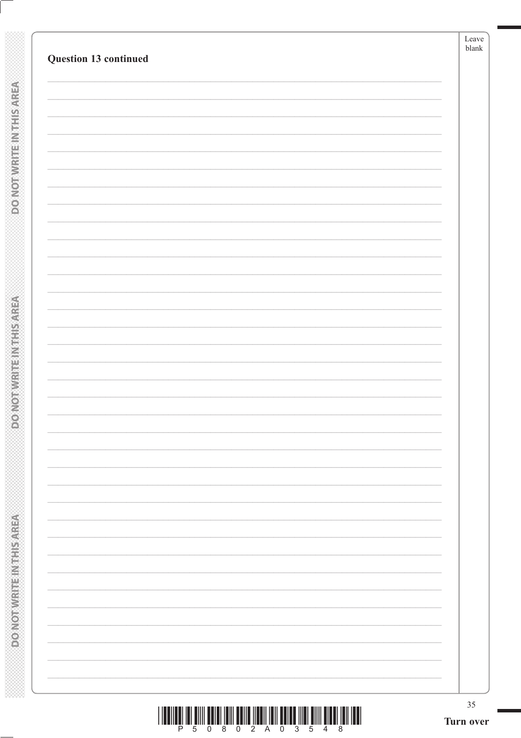| Question 13 continued |  |
|-----------------------|--|
|                       |  |
|                       |  |
|                       |  |
|                       |  |
|                       |  |
|                       |  |
|                       |  |
|                       |  |
|                       |  |
|                       |  |
|                       |  |
|                       |  |
|                       |  |
|                       |  |
|                       |  |
|                       |  |
|                       |  |
|                       |  |
|                       |  |
|                       |  |
|                       |  |
|                       |  |
|                       |  |
|                       |  |

**DOMOTWRITEINTHIS AREA**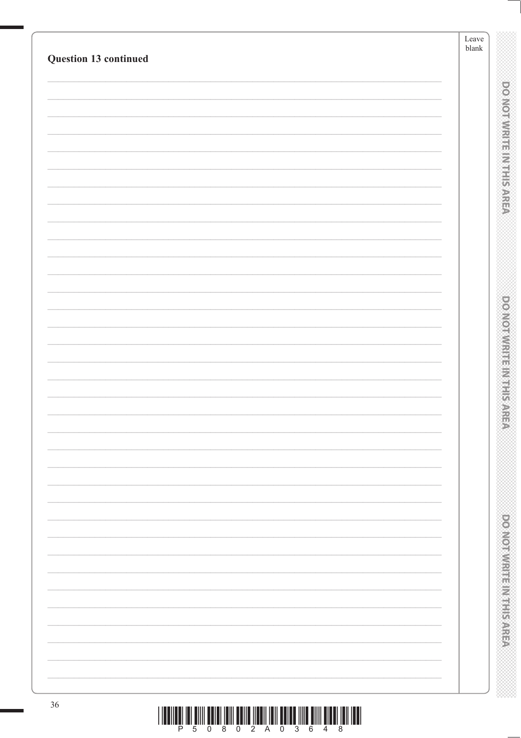|                                                                                                     | Leave<br>blank |                                  |
|-----------------------------------------------------------------------------------------------------|----------------|----------------------------------|
| Question 13 continued                                                                               |                |                                  |
|                                                                                                     |                |                                  |
|                                                                                                     |                | ponomnique muticate              |
|                                                                                                     |                |                                  |
|                                                                                                     |                |                                  |
|                                                                                                     |                |                                  |
|                                                                                                     |                |                                  |
|                                                                                                     |                |                                  |
|                                                                                                     |                |                                  |
|                                                                                                     |                |                                  |
|                                                                                                     |                |                                  |
|                                                                                                     |                |                                  |
|                                                                                                     |                |                                  |
|                                                                                                     |                | <b>PONDANT REMARKABLE PROPER</b> |
|                                                                                                     |                |                                  |
|                                                                                                     |                |                                  |
|                                                                                                     |                |                                  |
|                                                                                                     |                |                                  |
|                                                                                                     |                |                                  |
|                                                                                                     |                |                                  |
|                                                                                                     |                |                                  |
|                                                                                                     |                |                                  |
|                                                                                                     |                |                                  |
|                                                                                                     |                |                                  |
|                                                                                                     |                |                                  |
|                                                                                                     |                |                                  |
|                                                                                                     |                |                                  |
|                                                                                                     |                |                                  |
|                                                                                                     |                | <b>RESPONDED TO A PROPERTY</b>   |
|                                                                                                     |                |                                  |
|                                                                                                     |                |                                  |
|                                                                                                     |                |                                  |
| $36\,$<br><u>T THE TIME THAT HITTLE HERE THAT HERE TIME THAT HERE IN THE HITTLE HERE THAT THE T</u> |                |                                  |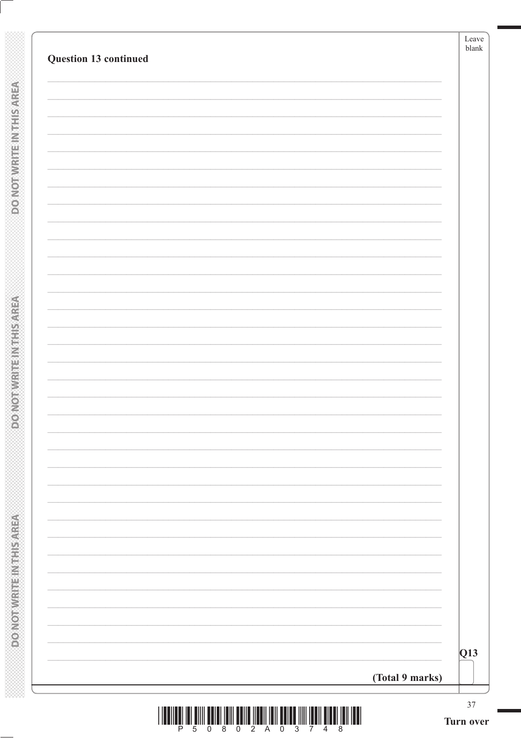| Question 13 continued | Leave<br>blank |
|-----------------------|----------------|
|                       |                |
|                       |                |
|                       |                |
|                       |                |
|                       |                |
|                       |                |
|                       |                |
|                       |                |
|                       |                |
|                       |                |
|                       |                |
|                       |                |
|                       |                |
|                       |                |
|                       |                |
|                       | Q13            |
| (Total 9 marks)       |                |

**DONOTWATE IN THIS AREA** 

**DO NOT WRITE IN THIS AREA**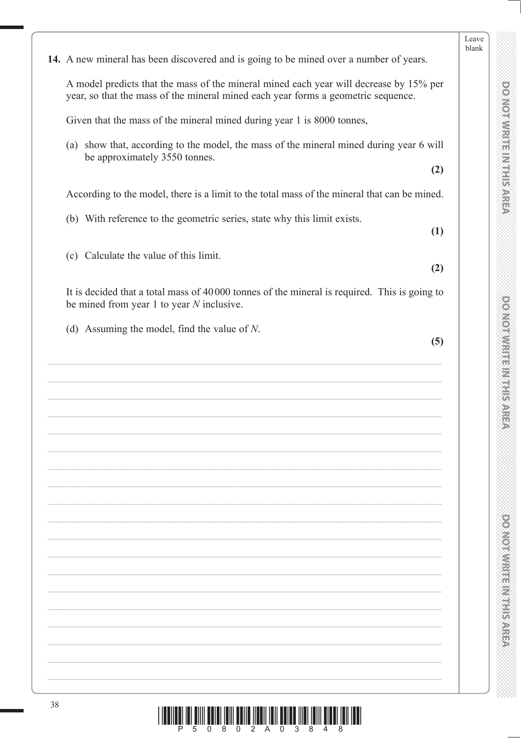|    | 14. A new mineral has been discovered and is going to be mined over a number of years.                                                                                      |
|----|-----------------------------------------------------------------------------------------------------------------------------------------------------------------------------|
|    | A model predicts that the mass of the mineral mined each year will decrease by 15% per<br>year, so that the mass of the mineral mined each year forms a geometric sequence. |
|    | Given that the mass of the mineral mined during year 1 is 8000 tonnes,                                                                                                      |
|    | (a) show that, according to the model, the mass of the mineral mined during year 6 will<br>be approximately 3550 tonnes.<br>(2)                                             |
|    | According to the model, there is a limit to the total mass of the mineral that can be mined.                                                                                |
|    | (b) With reference to the geometric series, state why this limit exists.<br>(1)                                                                                             |
|    | (c) Calculate the value of this limit.<br>(2)                                                                                                                               |
|    | It is decided that a total mass of 40000 tonnes of the mineral is required. This is going to<br>be mined from year $1$ to year $N$ inclusive.                               |
|    | (d) Assuming the model, find the value of $N$ .<br>(5)                                                                                                                      |
|    |                                                                                                                                                                             |
|    |                                                                                                                                                                             |
|    |                                                                                                                                                                             |
|    |                                                                                                                                                                             |
|    |                                                                                                                                                                             |
|    |                                                                                                                                                                             |
|    |                                                                                                                                                                             |
|    |                                                                                                                                                                             |
|    |                                                                                                                                                                             |
|    |                                                                                                                                                                             |
|    |                                                                                                                                                                             |
|    |                                                                                                                                                                             |
|    |                                                                                                                                                                             |
|    |                                                                                                                                                                             |
|    |                                                                                                                                                                             |
|    |                                                                                                                                                                             |
| 38 |                                                                                                                                                                             |
|    |                                                                                                                                                                             |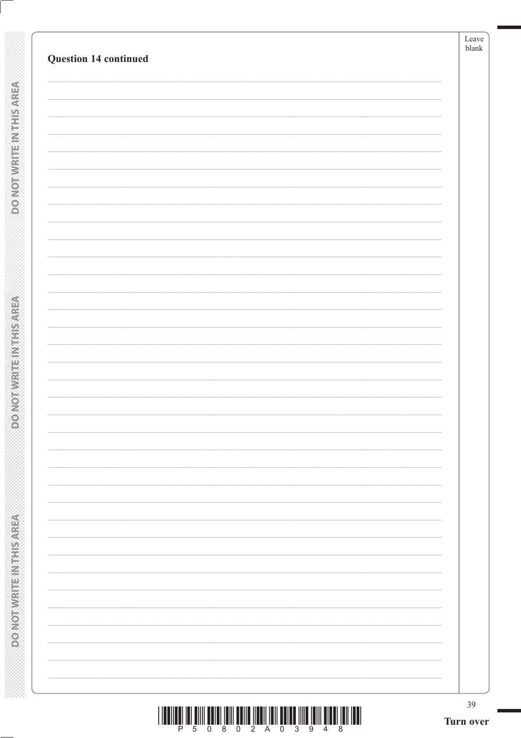|  | $\overline{\phantom{0}}$ |
|--|--------------------------|
|  |                          |
|  |                          |
|  |                          |
|  |                          |
|  |                          |
|  |                          |
|  |                          |
|  |                          |
|  |                          |
|  |                          |
|  |                          |
|  |                          |
|  |                          |
|  |                          |
|  |                          |
|  |                          |
|  |                          |
|  |                          |
|  |                          |
|  |                          |
|  |                          |
|  |                          |
|  |                          |
|  |                          |
|  |                          |
|  |                          |
|  |                          |
|  |                          |
|  |                          |
|  |                          |
|  |                          |
|  |                          |
|  |                          |
|  |                          |
|  |                          |

**DOMOTWRITEINTHIS AREA**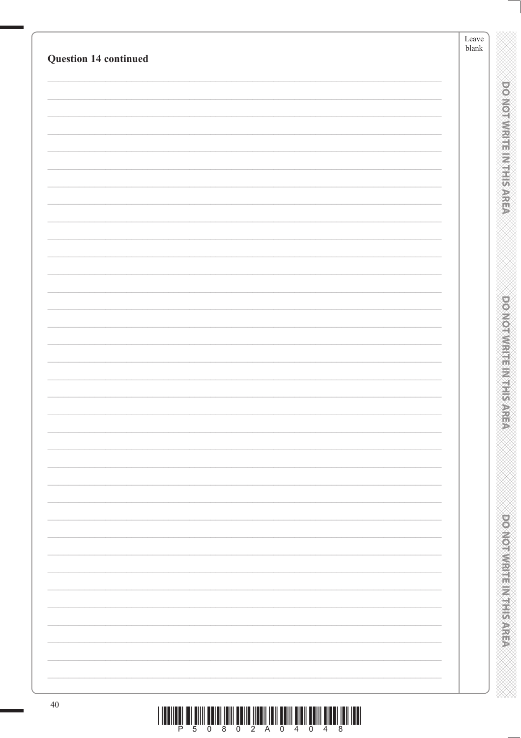|                       | Leave<br>$\ensuremath{\mathit{blank}}$ |
|-----------------------|----------------------------------------|
| Question 14 continued |                                        |
|                       |                                        |
|                       | <b>DOMOTWREE METIS AREA</b>            |
|                       |                                        |
|                       |                                        |
|                       |                                        |
|                       |                                        |
|                       |                                        |
|                       |                                        |
|                       |                                        |
|                       |                                        |
|                       |                                        |
|                       |                                        |
|                       | <b>DOMOIRING HER LIFE SANS</b>         |
|                       |                                        |
|                       |                                        |
|                       |                                        |
|                       |                                        |
|                       |                                        |
|                       |                                        |
|                       |                                        |
|                       |                                        |
|                       |                                        |
|                       |                                        |
|                       |                                        |
|                       |                                        |
|                       |                                        |
|                       |                                        |
|                       |                                        |
|                       |                                        |
|                       | <b>PLOTAGE IN THE REAL PROPERTY</b>    |
|                       |                                        |
|                       |                                        |
|                       |                                        |
| $40\,$                |                                        |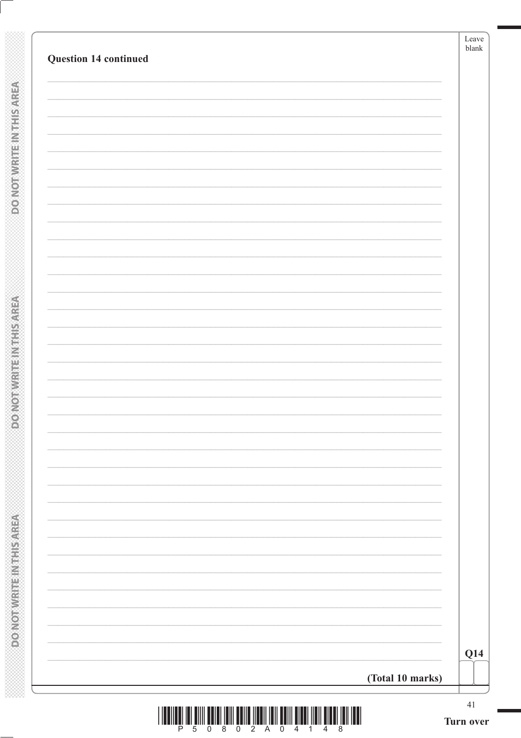| Question 14 continued | Leave<br>${\tt blank}$ |
|-----------------------|------------------------|
|                       |                        |
|                       |                        |
|                       |                        |
|                       |                        |
|                       |                        |
|                       |                        |
|                       |                        |
|                       |                        |
|                       |                        |
|                       |                        |
|                       |                        |
|                       |                        |
|                       | Q14                    |
| (Total 10 marks)      |                        |

**DOMOTWRITEINTHIS AREA** 

**DONOTWRITEIN THIS AREA**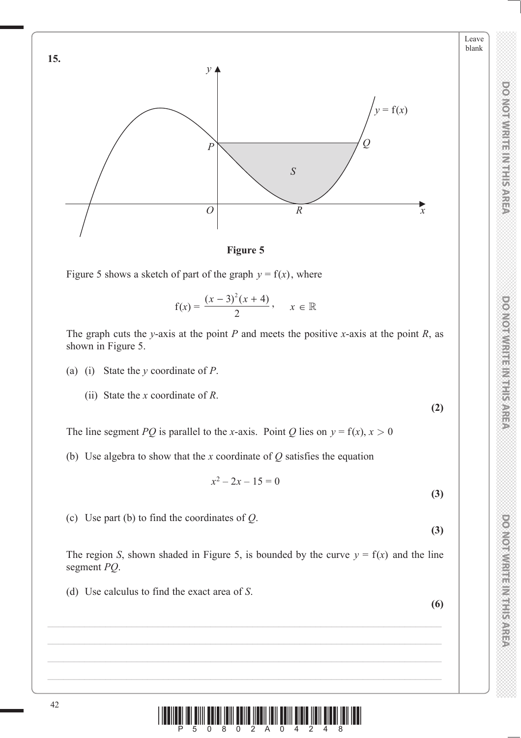

**Figure 5**

Figure 5 shows a sketch of part of the graph  $y = f(x)$ , where

$$
f(x) = \frac{(x-3)^2(x+4)}{2}, \quad x \in \mathbb{R}
$$

The graph cuts the *y*-axis at the point *P* and meets the positive *x*-axis at the point *R*, as shown in Figure 5.

- (a) (i) State the *y* coordinate of *P*.
	- (ii) State the *x* coordinate of *R*.

The line segment *PQ* is parallel to the *x*-axis. Point *Q* lies on  $y = f(x)$ ,  $x > 0$ 

(b) Use algebra to show that the *x* coordinate of *Q* satisfies the equation

$$
x^2 - 2x - 15 = 0
$$

(c) Use part (b) to find the coordinates of *Q*.

**(3)**

**(3)**

**(2)**

Leave blank

**DO NOT WRITE IN THIS AREA DO NOT WRITE IN THIS AREA DO NOT WRITE IN THIS AREA DO NOT WRITE IN THIS AREA DO NOT WRITE IN THIS AREA DO NOT WRITE IN THE AREA DO NOT WRITE IN THE AREA DO NOT WRITE IN THIS AREA DO NOT WRITE IN** 

**DOMOI WRITER WITH SARE** 

**DO NOT WRITER AT HIS AREA** 

**DO NOTWRITE INSTEARED** 

The region *S*, shown shaded in Figure 5, is bounded by the curve  $y = f(x)$  and the line segment *PQ*.

(d) Use calculus to find the exact area of *S*.

**(6)**

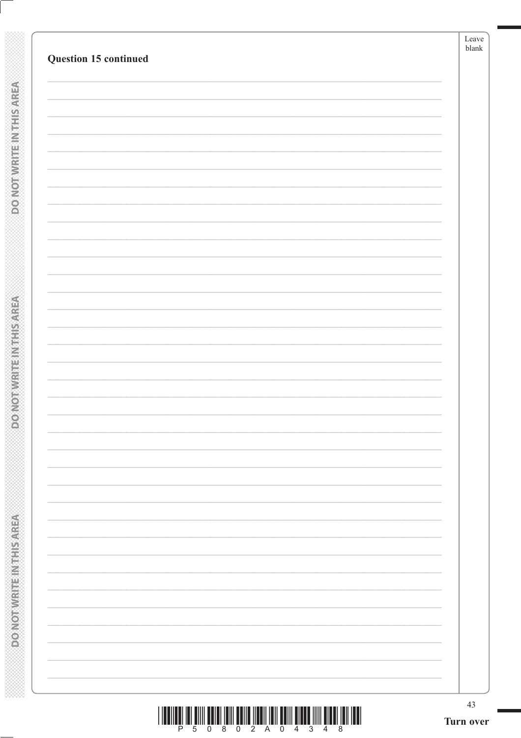| Question 15 continued |  |
|-----------------------|--|
|                       |  |
|                       |  |
|                       |  |
|                       |  |
|                       |  |
|                       |  |
|                       |  |
|                       |  |
|                       |  |
|                       |  |
|                       |  |
|                       |  |
|                       |  |
|                       |  |
|                       |  |
|                       |  |
|                       |  |
|                       |  |
|                       |  |
|                       |  |

**DOMOTWRITEINTHIS AREA**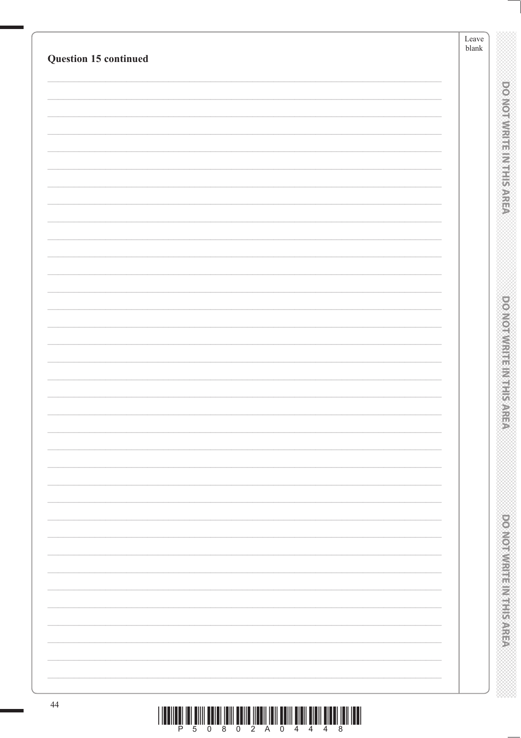| Question 15 continued | $\operatorname{Leave}$<br>blank |                                    |
|-----------------------|---------------------------------|------------------------------------|
|                       |                                 |                                    |
|                       |                                 |                                    |
|                       |                                 | ponominister millisarea            |
|                       |                                 |                                    |
|                       |                                 |                                    |
|                       |                                 |                                    |
|                       |                                 |                                    |
|                       |                                 |                                    |
|                       |                                 |                                    |
|                       |                                 |                                    |
|                       |                                 |                                    |
|                       |                                 |                                    |
|                       |                                 |                                    |
|                       |                                 | <b>DOMORROW ENGINEERING</b>        |
|                       |                                 |                                    |
|                       |                                 |                                    |
|                       |                                 |                                    |
|                       |                                 |                                    |
|                       |                                 |                                    |
|                       |                                 |                                    |
|                       |                                 |                                    |
|                       |                                 |                                    |
|                       |                                 |                                    |
|                       |                                 |                                    |
|                       |                                 |                                    |
|                       |                                 |                                    |
|                       |                                 |                                    |
|                       |                                 |                                    |
|                       |                                 |                                    |
|                       |                                 |                                    |
|                       |                                 |                                    |
|                       |                                 | <b>DOMORATION IS NOT THE STATE</b> |
|                       |                                 |                                    |
|                       |                                 |                                    |
|                       |                                 |                                    |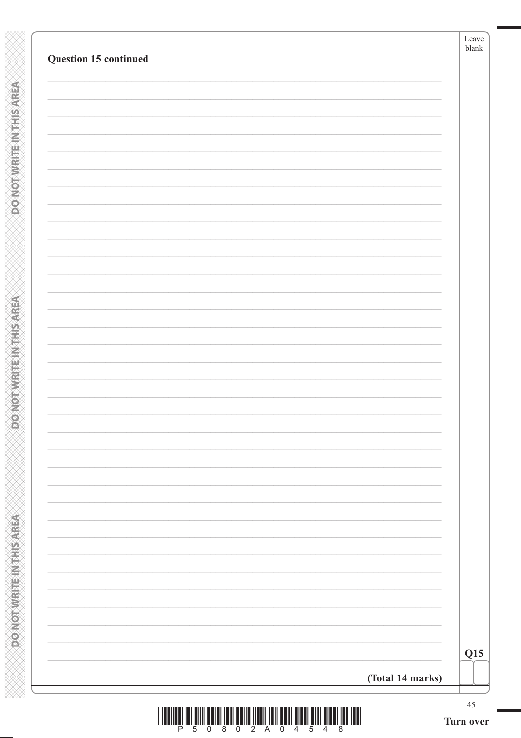| Question 15 continued | Leave<br>blank      |
|-----------------------|---------------------|
|                       |                     |
|                       |                     |
|                       |                     |
|                       |                     |
|                       |                     |
|                       |                     |
|                       |                     |
|                       |                     |
|                       |                     |
|                       |                     |
|                       |                     |
|                       |                     |
|                       |                     |
|                       |                     |
|                       |                     |
|                       |                     |
|                       |                     |
|                       |                     |
|                       |                     |
|                       |                     |
|                       |                     |
|                       |                     |
|                       |                     |
|                       |                     |
|                       | Q15                 |
| (Total 14 marks)      |                     |
| - 5                   | $45\,$<br>Turn over |

**DONOTWRITEINTHISAREA** 

**DONOTWRITEIN THIS AREA**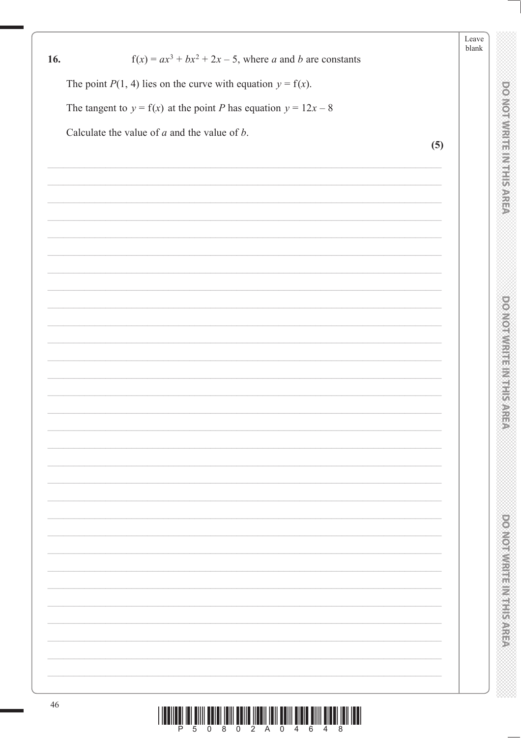|     |                                                                                                     | Leave<br>blank |                                 |
|-----|-----------------------------------------------------------------------------------------------------|----------------|---------------------------------|
| 16. | $f(x) = ax^3 + bx^2 + 2x - 5$ , where <i>a</i> and <i>b</i> are constants                           |                |                                 |
|     | The point $P(1, 4)$ lies on the curve with equation $y = f(x)$ .                                    |                |                                 |
|     | The tangent to $y = f(x)$ at the point P has equation $y = 12x - 8$                                 |                | <b>DOMORWRITHEIR SYREM</b>      |
|     | Calculate the value of $a$ and the value of $b$ .                                                   |                |                                 |
|     | (5)                                                                                                 |                |                                 |
|     |                                                                                                     |                |                                 |
|     |                                                                                                     |                |                                 |
|     |                                                                                                     |                |                                 |
|     |                                                                                                     |                |                                 |
|     |                                                                                                     |                |                                 |
|     |                                                                                                     |                |                                 |
|     |                                                                                                     |                |                                 |
|     |                                                                                                     |                | <b>DOMORATION IS NOT SARE</b>   |
|     |                                                                                                     |                |                                 |
|     |                                                                                                     |                |                                 |
|     |                                                                                                     |                |                                 |
|     |                                                                                                     |                |                                 |
|     |                                                                                                     |                |                                 |
|     |                                                                                                     |                |                                 |
|     |                                                                                                     |                |                                 |
|     |                                                                                                     |                |                                 |
|     |                                                                                                     |                |                                 |
|     |                                                                                                     |                |                                 |
|     |                                                                                                     |                |                                 |
|     |                                                                                                     |                |                                 |
|     |                                                                                                     |                |                                 |
|     |                                                                                                     |                | <b>Posted Microsoft Schools</b> |
|     |                                                                                                     |                |                                 |
|     |                                                                                                     |                |                                 |
|     |                                                                                                     |                |                                 |
| 46  | <u>, ושטר זוסו ושטוס וזווס שוטוס וווסט ווסו ווסטו ומוסוף שווסם וווסו וסוסט ווווס וסו ושטווסטו ו</u> |                |                                 |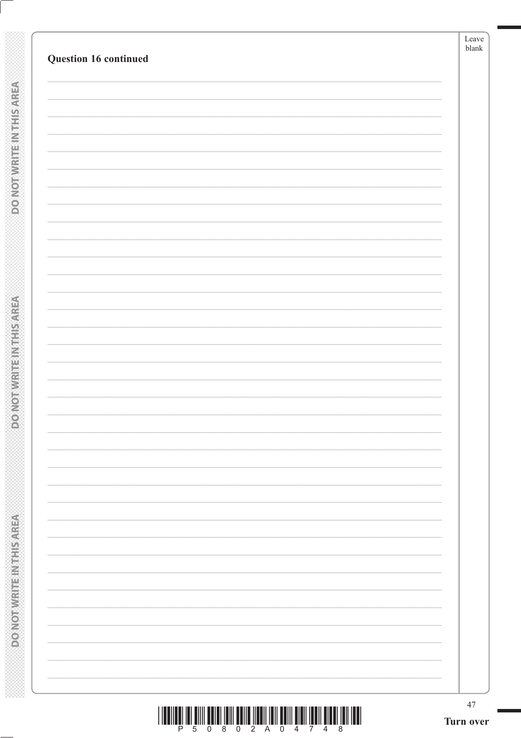**DOMOTWRITEINTHIS AREA**